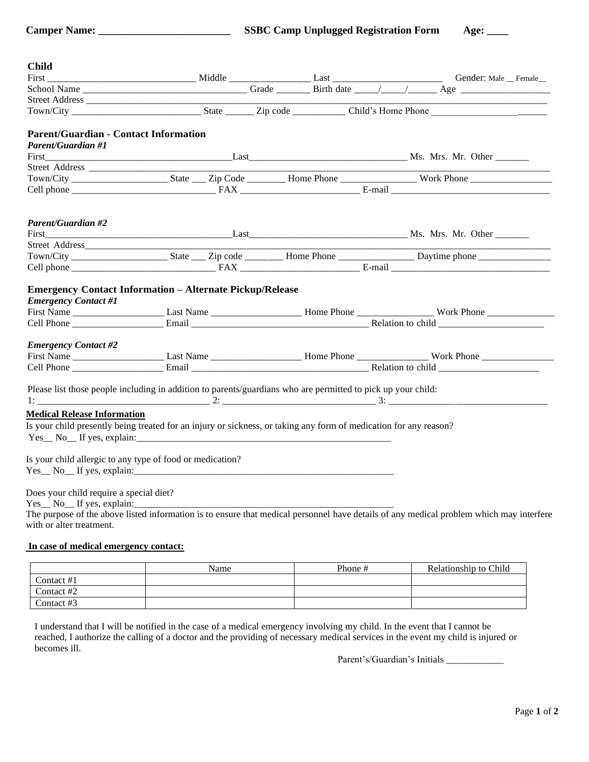| <b>Child</b>                                 |                                                                                                                   |  |                                                                                                                                                                                                                                |  |
|----------------------------------------------|-------------------------------------------------------------------------------------------------------------------|--|--------------------------------------------------------------------------------------------------------------------------------------------------------------------------------------------------------------------------------|--|
|                                              |                                                                                                                   |  | First Conder: Male Female Conder: Male Female Conder: Male Female Conder: Male Female Conder: Male Female Conder: Male Female Conder: Male Female Conder: Male Female Conder: Male Pemale Conder: Male Pemale Conder: Male Pem |  |
|                                              |                                                                                                                   |  |                                                                                                                                                                                                                                |  |
|                                              |                                                                                                                   |  |                                                                                                                                                                                                                                |  |
|                                              |                                                                                                                   |  |                                                                                                                                                                                                                                |  |
| <b>Parent/Guardian - Contact Information</b> |                                                                                                                   |  |                                                                                                                                                                                                                                |  |
| <b>Parent/Guardian #1</b>                    |                                                                                                                   |  |                                                                                                                                                                                                                                |  |
|                                              |                                                                                                                   |  |                                                                                                                                                                                                                                |  |
|                                              |                                                                                                                   |  |                                                                                                                                                                                                                                |  |
|                                              |                                                                                                                   |  |                                                                                                                                                                                                                                |  |
|                                              |                                                                                                                   |  |                                                                                                                                                                                                                                |  |
| <b>Parent/Guardian #2</b>                    |                                                                                                                   |  |                                                                                                                                                                                                                                |  |
|                                              |                                                                                                                   |  |                                                                                                                                                                                                                                |  |
|                                              |                                                                                                                   |  |                                                                                                                                                                                                                                |  |
|                                              |                                                                                                                   |  |                                                                                                                                                                                                                                |  |
|                                              |                                                                                                                   |  |                                                                                                                                                                                                                                |  |
| <b>Emergency Contact #1</b>                  | <b>Emergency Contact Information - Alternate Pickup/Release</b>                                                   |  |                                                                                                                                                                                                                                |  |
|                                              |                                                                                                                   |  |                                                                                                                                                                                                                                |  |
| <b>Emergency Contact #2</b>                  |                                                                                                                   |  |                                                                                                                                                                                                                                |  |
|                                              |                                                                                                                   |  |                                                                                                                                                                                                                                |  |
|                                              |                                                                                                                   |  |                                                                                                                                                                                                                                |  |
|                                              | Please list those people including in addition to parents/guardians who are permitted to pick up your child:      |  |                                                                                                                                                                                                                                |  |
| <b>Medical Release Information</b>           |                                                                                                                   |  |                                                                                                                                                                                                                                |  |
|                                              | Is your child presently being treated for an injury or sickness, or taking any form of medication for any reason? |  |                                                                                                                                                                                                                                |  |
|                                              | $Yes \_ No \_ If yes, explain: \_ \_ \_ \_ \_$                                                                    |  |                                                                                                                                                                                                                                |  |
|                                              |                                                                                                                   |  |                                                                                                                                                                                                                                |  |
|                                              | Is your child allergic to any type of food or medication?                                                         |  |                                                                                                                                                                                                                                |  |
|                                              | Yes No If yes, explain:                                                                                           |  |                                                                                                                                                                                                                                |  |
|                                              |                                                                                                                   |  |                                                                                                                                                                                                                                |  |
| Does your child require a special diet?      |                                                                                                                   |  |                                                                                                                                                                                                                                |  |
| Yes No If yes, explain:                      |                                                                                                                   |  |                                                                                                                                                                                                                                |  |
|                                              |                                                                                                                   |  | The purpose of the above listed information is to ensure that medical personnel have details of any medical problem which may interfere                                                                                        |  |
| with or alter treatment.                     |                                                                                                                   |  |                                                                                                                                                                                                                                |  |

### **In case of medical emergency contact:**

|            | Name | Phone # | Relationship to Child |
|------------|------|---------|-----------------------|
| Contact #1 |      |         |                       |
| Contact #2 |      |         |                       |
| Contact #3 |      |         |                       |

I understand that I will be notified in the case of a medical emergency involving my child. In the event that I cannot be reached, I authorize the calling of a doctor and the providing of necessary medical services in the event my child is injured or becomes ill.

Parent's/Guardian's Initials \_\_\_\_\_\_\_\_\_\_\_\_\_\_